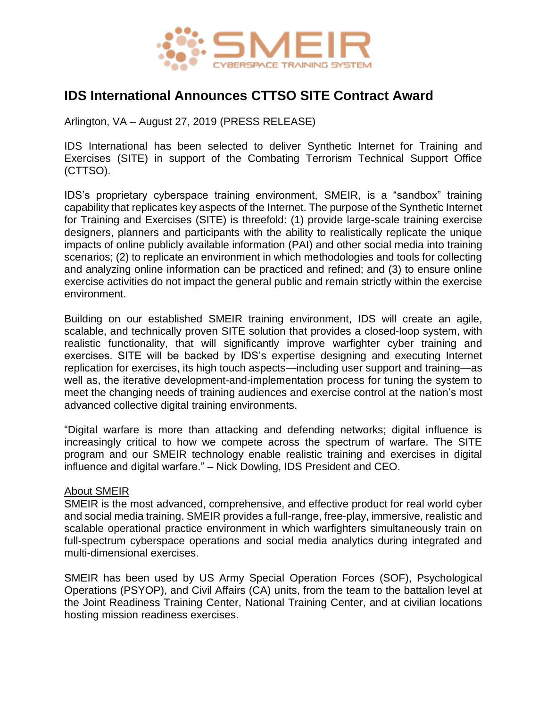

## **IDS International Announces CTTSO SITE Contract Award**

Arlington, VA – August 27, 2019 (PRESS RELEASE)

IDS International has been selected to deliver Synthetic Internet for Training and Exercises (SITE) in support of the Combating Terrorism Technical Support Office (CTTSO).

IDS's proprietary cyberspace training environment, SMEIR, is a "sandbox" training capability that replicates key aspects of the Internet. The purpose of the Synthetic Internet for Training and Exercises (SITE) is threefold: (1) provide large-scale training exercise designers, planners and participants with the ability to realistically replicate the unique impacts of online publicly available information (PAI) and other social media into training scenarios; (2) to replicate an environment in which methodologies and tools for collecting and analyzing online information can be practiced and refined; and (3) to ensure online exercise activities do not impact the general public and remain strictly within the exercise environment.

Building on our established SMEIR training environment, IDS will create an agile, scalable, and technically proven SITE solution that provides a closed-loop system, with realistic functionality, that will significantly improve warfighter cyber training and exercises. SITE will be backed by IDS's expertise designing and executing Internet replication for exercises, its high touch aspects—including user support and training—as well as, the iterative development-and-implementation process for tuning the system to meet the changing needs of training audiences and exercise control at the nation's most advanced collective digital training environments.

"Digital warfare is more than attacking and defending networks; digital influence is increasingly critical to how we compete across the spectrum of warfare. The SITE program and our SMEIR technology enable realistic training and exercises in digital influence and digital warfare." – Nick Dowling, IDS President and CEO.

## About SMEIR

SMEIR is the most advanced, comprehensive, and effective product for real world cyber and social media training. SMEIR provides a full-range, free-play, immersive, realistic and scalable operational practice environment in which warfighters simultaneously train on full-spectrum cyberspace operations and social media analytics during integrated and multi-dimensional exercises.

SMEIR has been used by US Army Special Operation Forces (SOF), Psychological Operations (PSYOP), and Civil Affairs (CA) units, from the team to the battalion level at the Joint Readiness Training Center, National Training Center, and at civilian locations hosting mission readiness exercises.